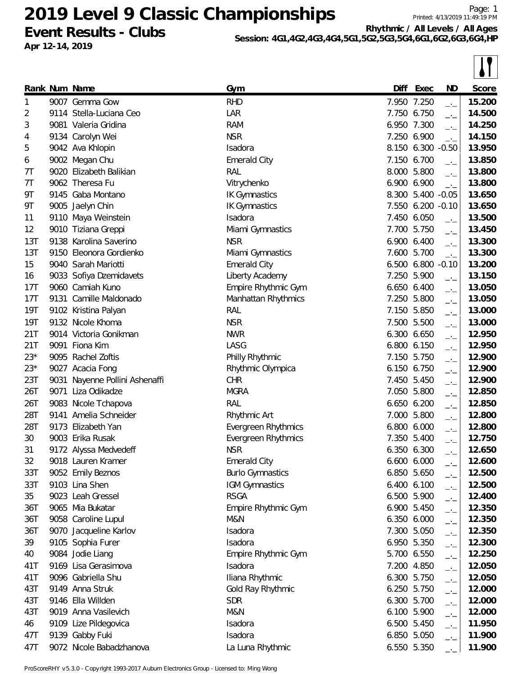**Event Results - Clubs Apr 12-14, 2019**

Printed: 4/13/2019 11:49:19 PM **Rhythmic / All Levels / All Ages**

**Session: 4G1,4G2,4G3,4G4,5G1,5G2,5G3,5G4,6G1,6G2,6G3,6G4,HP**

|                 |                                |                         |       |                   |                             | $\bullet$ i |
|-----------------|--------------------------------|-------------------------|-------|-------------------|-----------------------------|-------------|
|                 | Rank Num Name                  | Gym                     |       | Diff Exec         | <b>ND</b>                   | Score       |
| 1               | 9007 Gemma Gow                 | <b>RHD</b>              |       | 7.950 7.250       | $\rightarrow$ $\rightarrow$ | 15.200      |
| 2               | 9114 Stella-Luciana Ceo        | LAR                     | 7.750 | 6.750             | $-1$                        | 14.500      |
| 3               | 9081 Valeria Gridina           | <b>RAM</b>              |       | 6.950 7.300       | $-1$                        | 14.250      |
| 4               | 9134 Carolyn Wei               | <b>NSR</b>              | 7.250 | 6.900             | $-1$                        | 14.150      |
| 5               | 9042 Ava Khlopin               | Isadora                 |       | 8.150 6.300 -0.50 |                             | 13.950      |
| 6               | 9002 Megan Chu                 | <b>Emerald City</b>     |       | 7.150 6.700       | $-1$                        | 13.850      |
| 7Τ              | 9020 Elizabeth Balikian        | RAL                     | 8.000 | 5.800             | $-1$                        | 13.800      |
| 7Τ              | 9062 Theresa Fu                | Vitrychenko             |       | 6.900 6.900       | $\rightarrow$               | 13.800      |
| 9Τ              | 9145 Gaba Montano              | <b>IK Gymnastics</b>    |       | 8.300 5.400 -0.05 |                             | 13.650      |
| 9Τ              | 9005 Jaelyn Chin               | <b>IK Gymnastics</b>    |       | 7.550 6.200 -0.10 |                             | 13.650      |
| 11              | 9110 Maya Weinstein            | Isadora                 | 7.450 | 6.050             | $\Box$                      | 13.500      |
| 12              | 9010 Tiziana Greppi            | Miami Gymnastics        |       | 7.700 5.750       | $\overline{\phantom{a}}$    | 13.450      |
| 13T             | 9138 Karolina Saverino         | <b>NSR</b>              | 6.900 | 6.400             | $-1$                        | 13.300      |
| 13T             | 9150 Eleonora Gordienko        | Miami Gymnastics        | 7.600 | 5.700             | $-1$                        | 13.300      |
| 15              | 9040 Sarah Mariotti            | <b>Emerald City</b>     | 6.500 | 6.800             | $-0.10$                     | 13.200      |
| 16              | 9033 Sofiya Dzemidavets        | Liberty Academy         |       | 7.250 5.900       | $-1$                        | 13.150      |
| 17T             | 9060 Camiah Kuno               | Empire Rhythmic Gym     | 6.650 | 6.400             | $-1$                        | 13.050      |
| 17 <sub>T</sub> | 9131 Camille Maldonado         | Manhattan Rhythmics     | 7.250 | 5.800             | $ -$                        | 13.050      |
| <b>19T</b>      | 9102 Kristina Palyan           | RAL                     |       | 7.150 5.850       | $\Box$                      | 13.000      |
| <b>19T</b>      | 9132 Nicole Khoma              | <b>NSR</b>              |       | 7.500 5.500       | $-1$                        | 13.000      |
| 21T             | 9014 Victoria Gonikman         | <b>NWR</b>              |       | 6.300 6.650       | $ -$                        | 12.950      |
| 21T             | 9091 Fiona Kim                 | LASG                    | 6.800 | 6.150             | $-1$                        | 12.950      |
| $23*$           | 9095 Rachel Zoftis             | Philly Rhythmic         |       | 7.150 5.750       | $-1$                        | 12.900      |
| $23*$           | 9027 Acacia Fong               | Rhythmic Olympica       |       | 6.150 6.750       | $-1$                        | 12.900      |
| 23T             | 9031 Nayenne Pollini Ashenaffi | <b>CHR</b>              | 7.450 | 5.450             | $ -$                        | 12.900      |
| 26T             | 9071 Liza Odikadze             | <b>MGRA</b>             | 7.050 | 5.800             | $\Box$                      | 12.850      |
| 26T             | 9083 Nicole Tchapova           | <b>RAL</b>              |       | 6.650 6.200       | $-1$                        | 12.850      |
| 28T             | 9141 Amelia Schneider          | Rhythmic Art            | 7.000 | 5.800             | $-1$                        | 12.800      |
| 28T             | 9173 Elizabeth Yan             | Evergreen Rhythmics     | 6.800 | 6.000             | $-1$                        | 12.800      |
| 30              | 9003 Erika Rusak               | Evergreen Rhythmics     |       | 7.350 5.400       | $-1$                        | 12.750      |
| 31              | 9172 Alyssa Medvedeff          | <b>NSR</b>              |       | 6.350 6.300       | —'—                         | 12.650      |
| 32              | 9018 Lauren Kramer             | <b>Emerald City</b>     |       | 6.600 6.000       | $ -$                        | 12.600      |
| 33T             | 9052 Emily Beznos              | <b>Burlo Gymnastics</b> |       | 6.850 5.650       | $-1$                        | 12.500      |
| 33T             | 9103 Lina Shen                 | <b>IGM Gymnastics</b>   |       | 6.400 6.100       | $-1$                        | 12.500      |
| 35              | 9023 Leah Gressel              | <b>RSGA</b>             |       | 6.500 5.900       | $\overline{\phantom{a}}$    | 12.400      |
| 36T             | 9065 Mia Bukatar               | Empire Rhythmic Gym     |       | 6.900 5.450       | $-1$                        | 12.350      |
| 36T             | 9058 Caroline Lupul            | M&N                     |       | 6.350 6.000       | $-1$                        | 12.350      |
| 36T             | 9070 Jacqueline Karlov         | Isadora                 |       | 7.300 5.050       | $-1$                        | 12.350      |
| 39              | 9105 Sophia Furer              | Isadora                 |       | 6.950 5.350       | $-1$                        | 12.300      |
| 40              | 9084 Jodie Liang               | Empire Rhythmic Gym     |       | 5.700 6.550       | $-1$                        | 12.250      |
| 41T             | 9169 Lisa Gerasimova           | Isadora                 |       | 7.200 4.850       | $-1$                        | 12.050      |
| 41T             | 9096 Gabriella Shu             | Iliana Rhythmic         |       | 6.300 5.750       | $-1$                        | 12.050      |
| 43T             | 9149 Anna Struk                | Gold Ray Rhythmic       |       | 6.250 5.750       | $-1$                        | 12.000      |
| 43T             | 9146 Ella Willden              | <b>SDR</b>              |       | 6.300 5.700       | $ -$                        | 12.000      |
| 43T             | 9019 Anna Vasilevich           | M&N                     |       | 6.100 5.900       | $-1$                        | 12.000      |
| 46              | 9109 Lize Pildegovica          | Isadora                 |       | 6.500 5.450       | $ -$                        | 11.950      |
| 47T             | 9139 Gabby Fuki                | Isadora                 |       | 6.850 5.050       | $-1$                        | 11.900      |
| 47T             | 9072 Nicole Babadzhanova       | La Luna Rhythmic        |       | 6.550 5.350       |                             | 11.900      |
|                 |                                |                         |       |                   |                             |             |

ProScoreRHY v5.3.0 - Copyright 1993-2017 Auburn Electronics Group - Licensed to: Ming Wong

 $\boxed{1}$ 

Page: 1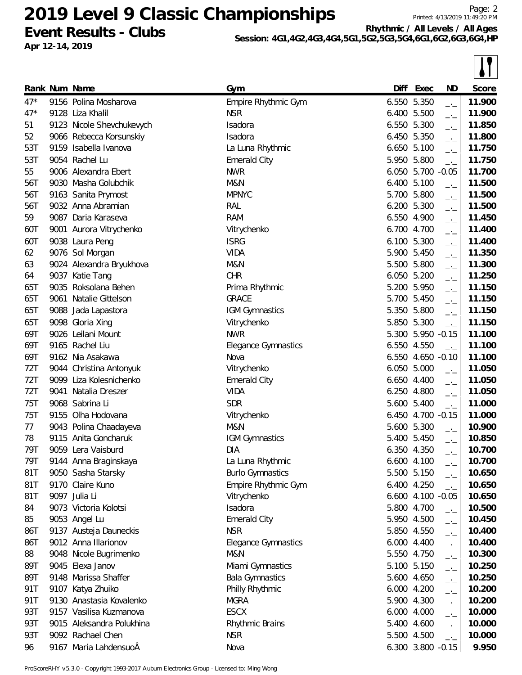**Event Results - Clubs Apr 12-14, 2019**

**Rhythmic / All Levels / All Ages**

**Session: 4G1,4G2,4G3,4G4,5G1,5G2,5G3,5G4,6G1,6G2,6G3,6G4,HP**

|       |      |                           |                            |       |                   |                             | $\bullet$ l |
|-------|------|---------------------------|----------------------------|-------|-------------------|-----------------------------|-------------|
|       |      | Rank Num Name             | Gym                        | Diff  | Exec              | <b>ND</b>                   | Score       |
| $47*$ |      | 9156 Polina Mosharova     | Empire Rhythmic Gym        | 6.550 | 5.350             | $\rightarrow$               | 11.900      |
| $47*$ | 9128 | Liza Khalil               | <b>NSR</b>                 | 6.400 | 5.500             | $-1$                        | 11.900      |
| 51    |      | 9123 Nicole Shevchukevych | Isadora                    |       | 6.550 5.300       | $-1$                        | 11.850      |
| 52    |      | 9066 Rebecca Korsunskiy   | Isadora                    |       | 6.450 5.350       | $-1$                        | 11.800      |
| 53T   |      | 9159 Isabella Ivanova     | La Luna Rhythmic           |       | 6.650 5.100       | $\overline{\phantom{a}}$    | 11.750      |
| 53T   |      | 9054 Rachel Lu            | <b>Emerald City</b>        | 5.950 | 5.800             | $\rightarrow$               | 11.750      |
| 55    |      | 9006 Alexandra Ebert      | <b>NWR</b>                 |       | 6.050 5.700       | $-0.05$                     | 11.700      |
| 56T   |      | 9030 Masha Golubchik      | M&N                        |       | 6.400 5.100       | $-1$                        | 11.500      |
| 56T   |      | 9163 Sanita Prymost       | <b>MPNYC</b>               |       | 5.700 5.800       | $\overline{\phantom{a}}$    | 11.500      |
| 56T   |      | 9032 Anna Abramian        | RAL                        |       | 6.200 5.300       | $-1$                        | 11.500      |
| 59    |      | 9087 Daria Karaseva       | <b>RAM</b>                 |       | 6.550 4.900       | $-1$                        | 11.450      |
| 60T   |      | 9001 Aurora Vitrychenko   | Vitrychenko                |       | 6.700 4.700       | $\rightarrow$               | 11.400      |
| 60T   |      | 9038 Laura Peng           | <b>ISRG</b>                |       | 6.100 5.300       | $-1$                        | 11.400      |
| 62    |      | 9076 Sol Morgan           | <b>VIDA</b>                |       | 5.900 5.450       | $-1$                        | 11.350      |
| 63    |      | 9024 Alexandra Bryukhova  | M&N                        |       | 5.500 5.800       | $-1$                        | 11.300      |
| 64    |      | 9037 Katie Tang           | <b>CHR</b>                 |       | 6.050 5.200       | $-1$                        | 11.250      |
| 65T   |      | 9035 Roksolana Behen      | Prima Rhythmic             |       | 5.200 5.950       | $-1$                        | 11.150      |
| 65T   |      | 9061 Natalie Gittelson    | <b>GRACE</b>               |       | 5.700 5.450       | $-1$                        | 11.150      |
| 65T   |      | 9088 Jada Lapastora       | IGM Gymnastics             |       | 5.350 5.800       | $\overline{\phantom{a}}$    | 11.150      |
| 65T   |      | 9098 Gloria Xing          | Vitrychenko                |       | 5.850 5.300       | $\overline{\phantom{a}}$    | 11.150      |
| 69T   |      | 9026 Leilani Mount        | <b>NWR</b>                 | 5.300 | 5.950 -0.15       |                             | 11.100      |
| 69T   |      | 9165 Rachel Liu           | <b>Elegance Gymnastics</b> |       | 6.550 4.550       | $\overline{\phantom{a}}$    | 11.100      |
| 69T   |      | 9162 Nia Asakawa          | Nova                       | 6.550 | 4.650 -0.10       |                             | 11.100      |
| 72T   |      | 9044 Christina Antonyuk   | Vitrychenko                |       | 6.050 5.000       | $\rightarrow$               | 11.050      |
| 72T   |      | 9099 Liza Kolesnichenko   | <b>Emerald City</b>        |       | 6.650 4.400       | $-1$                        | 11.050      |
| 72T   | 9041 | Natalia Dreszer           | <b>VIDA</b>                |       | 6.250 4.800       | $\overline{\phantom{a}}$    | 11.050      |
| 75T   |      | 9068 Sabrina Li           | <b>SDR</b>                 |       | 5.600 5.400       | $\overline{\phantom{a}}$    | 11.000      |
| 75T   |      | 9155 Olha Hodovana        | Vitrychenko                |       | 6.450 4.700 -0.15 |                             | 11.000      |
| 77    |      | 9043 Polina Chaadayeva    | M&N                        |       | 5.600 5.300       |                             | 10.900      |
| 78    |      | 9115 Anita Goncharuk      | <b>IGM Gymnastics</b>      |       | 5.400 5.450       | —'—<br>$-1$                 | 10.850      |
| 79T   |      | 9059 Lera Vaisburd        | DIA.                       |       | 6.350 4.350       |                             | 10.700      |
| 79T   |      | 9144 Anna Braginskaya     | La Luna Rhythmic           |       | 6.600 4.100       | —'—                         | 10.700      |
| 81T   |      | 9050 Sasha Starsky        | <b>Burlo Gymnastics</b>    |       | 5.500 5.150       | $-1$<br>$-1$                | 10.650      |
| 81T   |      | 9170 Claire Kuno          | Empire Rhythmic Gym        |       | 6.400 4.250       | $\rightarrow$ $\rightarrow$ | 10.650      |
| 81T   |      | 9097 Julia Li             | Vitrychenko                |       | 6.600 4.100 -0.05 |                             | 10.650      |
| 84    |      | 9073 Victoria Kolotsi     | Isadora                    |       | 5.800 4.700       |                             | 10.500      |
| 85    |      | 9053 Angel Lu             | <b>Emerald City</b>        |       | 5.950 4.500       | $-1$                        | 10.450      |
| 86T   |      | 9137 Austeja Dauneckis    | <b>NSR</b>                 |       | 5.850 4.550       | $-1$                        | 10.400      |
| 86T   |      | 9012 Anna Illarionov      | <b>Elegance Gymnastics</b> |       | 6.000 4.400       | $-\frac{1}{2}$              | 10.400      |
| 88    |      | 9048 Nicole Bugrimenko    | M&N                        |       | 5.550 4.750       | $\rightarrow$               | 10.300      |
| 89T   |      | 9045 Elexa Janov          | Miami Gymnastics           |       | 5.100 5.150       | $-$                         | 10.250      |
| 89T   |      | 9148 Marissa Shaffer      | <b>Bala Gymnastics</b>     |       | 5.600 4.650       | $-1$                        | 10.250      |
| 91T   |      | 9107 Katya Zhuiko         | Philly Rhythmic            |       | 6.000 4.200       | $\rightarrow$               | 10.200      |
| 91T   |      | 9130 Anastasia Kovalenko  | <b>MGRA</b>                |       | 5.900 4.300       | $-1$                        | 10.200      |
| 93T   |      | 9157 Vasilisa Kuzmanova   | <b>ESCX</b>                |       | 6.000 4.000       | $-1$                        | 10.000      |
| 93T   |      | 9015 Aleksandra Polukhina | Rhythmic Brains            |       | 5.400 4.600       | $-1$                        | 10.000      |
| 93T   |      | 9092 Rachael Chen         | <b>NSR</b>                 |       | 5.500 4.500       | $-1$                        | 10.000      |
|       |      |                           |                            |       |                   | $\rightarrow$               |             |
| 96    |      | 9167 Maria LahdensuoÂ     | Nova                       |       | 6.300 3.800 -0.15 |                             | 9.950       |

ProScoreRHY v5.3.0 - Copyright 1993-2017 Auburn Electronics Group - Licensed to: Ming Wong

 $\boxed{1}$ 

Page: 2

Printed: 4/13/2019 11:49:20 PM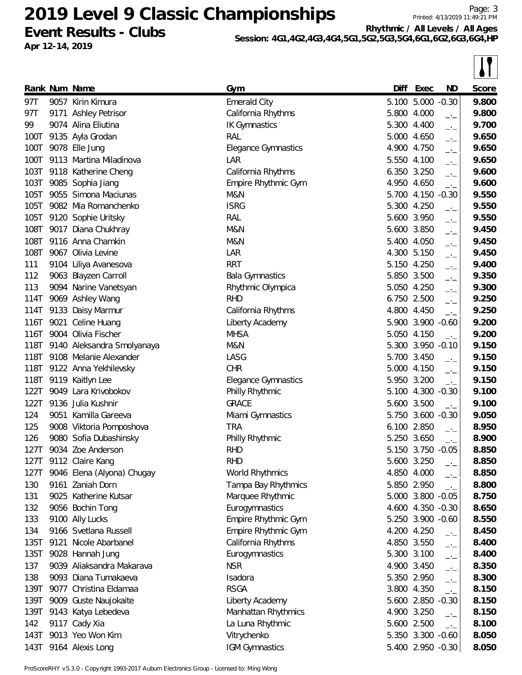**Event Results - Clubs Apr 12-14, 2019**

Printed: 4/13/2019 11:49:21 PM

Page: 3

**Rhythmic / All Levels / All Ages**

**Session: 4G1,4G2,4G3,4G4,5G1,5G2,5G3,5G4,6G1,6G2,6G3,6G4,HP**

|      | Rank Num Name              | Gym                        | Diff        | Exec              | ND                          | Score |
|------|----------------------------|----------------------------|-------------|-------------------|-----------------------------|-------|
| 97T  | 9057 Kirin Kimura          | <b>Emerald City</b>        |             | 5.100 5.000 -0.30 |                             | 9.800 |
| 97T  | 9171 Ashley Petrisor       | California Rhythms         |             | 5.800 4.000       | $-1$                        | 9.800 |
| 99   | 9074 Alina Eliutina        | <b>IK Gymnastics</b>       |             | 5.300 4.400       | $-1$                        | 9.700 |
| 100T | 9135 Ayla Grodan           | RAL                        |             | 5.000 4.650       | $-1$                        | 9.650 |
| 100T | 9078 Elle Jung             | Elegance Gymnastics        | 4.900       | 4.750             | $ -$                        | 9.650 |
| 100T | 9113 Martina Miladinova    | LAR                        |             | 5.550 4.100       | $-1$                        | 9.650 |
| 103T | 9118 Katherine Cheng       | California Rhythms         |             | 6.350 3.250       | $-1$                        | 9.600 |
| 103T | 9085 Sophia Jiang          | Empire Rhythmic Gym        |             | 4.950 4.650       | $\rightarrow$ $\rightarrow$ | 9.600 |
| 105T | 9055 Simona Maciunas       | M&N                        |             | 5.700 4.150       | $-0.30$                     | 9.550 |
| 105T | 9082 Mia Romanchenko       | <b>ISRG</b>                |             | 5.300 4.250       | $\rightarrow$ $\rightarrow$ | 9.550 |
| 105T | 9120 Sophie Uritsky        | RAL                        |             | 5.600 3.950       | $-1$                        | 9.550 |
| 108T | 9017 Diana Chukhray        | M&N                        |             | 5.600 3.850       | $-1$                        | 9.450 |
| 108T | 9116 Anna Chamkin          | M&N                        |             | 5.400 4.050       | $-1$                        | 9.450 |
| 108T | 9067 Olivia Levine         | LAR                        | 4.300       | 5.150             | $-1$                        | 9.450 |
| 111  | 9104 Liliya Avanesova      | <b>RRT</b>                 |             | 5.150 4.250       | $-1$                        | 9.400 |
| 112  | 9063 Blayzen Carroll       | <b>Bala Gymnastics</b>     |             | 5.850 3.500       | $\overline{\phantom{a}}$    | 9.350 |
| 113  | 9094 Narine Vanetsyan      | Rhythmic Olympica          |             | 5.050 4.250       | $-1$                        | 9.300 |
| 114T | 9069 Ashley Wang           | <b>RHD</b>                 |             | 6.750 2.500       | $-1$                        | 9.250 |
| 114T | 9133 Daisy Marmur          | California Rhythms         | 4.800 4.450 |                   | $ -$                        | 9.250 |
| 116T | 9021 Celine Huang          | Liberty Academy            |             | 5.900 3.900 -0.60 |                             | 9.200 |
| 116T | 9004 Olivia Fischer        | <b>MHSA</b>                |             | 5.050 4.150       | $-1$                        | 9.200 |
| 118T | 9140 Aleksandra Smolyanaya | M&N                        |             | 5.300 3.950 -0.10 |                             | 9.150 |
| 118T | 9108 Melanie Alexander     | LASG                       |             | 5.700 3.450       | $-1$                        | 9.150 |
| 118T | 9122 Anna Yekhilevsky      | <b>CHR</b>                 |             | 5.000 4.150       | $\overline{\phantom{a}}$    | 9.150 |
| 118T | 9119 Kaitlyn Lee           | <b>Elegance Gymnastics</b> |             | 5.950 3.200       | $\rightarrow$ $\rightarrow$ | 9.150 |
| 122T | 9049 Lara Krivobokov       | Philly Rhythmic            |             | 5.100 4.300 -0.30 |                             | 9.100 |
| 122T | 9136 Julia Kushnir         | <b>GRACE</b>               |             | 5.600 3.500       | $-1$                        | 9.100 |
| 124  | 9051 Kamilla Gareeva       | Miami Gymnastics           |             | 5.750 3.600 -0.30 |                             | 9.050 |
| 125  | 9008 Viktoria Pomposhova   | <b>TRA</b>                 | 6.100 2.850 |                   |                             | 8.950 |
| 126  | 9080 Sofia Dubashinsky     | Philly Rhythmic            |             | 5.250 3.650       | $-1$                        | 8.900 |
| 127T | 9034 Zoe Anderson          | <b>RHD</b>                 |             | 5.150 3.750 -0.05 |                             | 8.850 |
| 127T | 9112 Claire Kang           | <b>RHD</b>                 |             | 5.600 3.250       | $-1$                        | 8.850 |
| 127T | 9046 Elena (Alyona) Chugay | World Rhythmics            |             | 4.850 4.000       | $-1$                        | 8.850 |
| 130  | 9161 Zaniah Dorn           | Tampa Bay Rhythmics        |             | 5.850 2.950       | $-1$                        | 8.800 |
| 131  | 9025 Katherine Kutsar      | Marquee Rhythmic           |             | 5.000 3.800 -0.05 |                             | 8.750 |
| 132  | 9056 Bochin Tong           | Eurogymnastics             |             | 4.600 4.350 -0.30 |                             | 8.650 |
| 133  | 9100 Ally Lucks            | Empire Rhythmic Gym        |             | 5.250 3.900 -0.60 |                             | 8.550 |
| 134  | 9166 Svetlana Russell      | Empire Rhythmic Gym        |             | 4.200 4.250       | $-1$                        | 8.450 |
| 135T | 9121 Nicole Abarbanel      | California Rhythms         |             | 4.850 3.550       | $-1$                        | 8.400 |
| 135T | 9028 Hannah Jung           | Eurogymnastics             |             | 5.300 3.100       | $\overline{\phantom{a}}$    | 8.400 |
| 137  | 9039 Aliaksandra Makarava  | <b>NSR</b>                 |             | 4.900 3.450       | $-1$                        | 8.350 |
| 138  | 9093 Diana Tumakaeva       | Isadora                    |             | 5.350 2.950       | $\overline{\phantom{a}}$    | 8.300 |
| 139T | 9077 Christina Eldamaa     | <b>RSGA</b>                |             | 3.800 4.350       | $\rightarrow$               | 8.150 |
| 139T | 9009 Guste Naujokaite      | Liberty Academy            |             | 5.600 2.850 -0.30 |                             | 8.150 |
| 139T | 9143 Katya Lebedeva        | Manhattan Rhythmics        |             | 4.900 3.250       | $-1$                        | 8.150 |
| 142  | 9117 Cady Xia              | La Luna Rhythmic           |             | 5.600 2.500       | $-1$                        | 8.100 |
| 143T | 9013 Yeo Won Kim           | Vitrychenko                |             | 5.350 3.300 -0.60 |                             | 8.050 |
|      | 143T 9164 Alexis Long      | IGM Gymnastics             |             | 5.400 2.950 -0.30 |                             | 8.050 |

ProScoreRHY v5.3.0 - Copyright 1993-2017 Auburn Electronics Group - Licensed to: Ming Wong